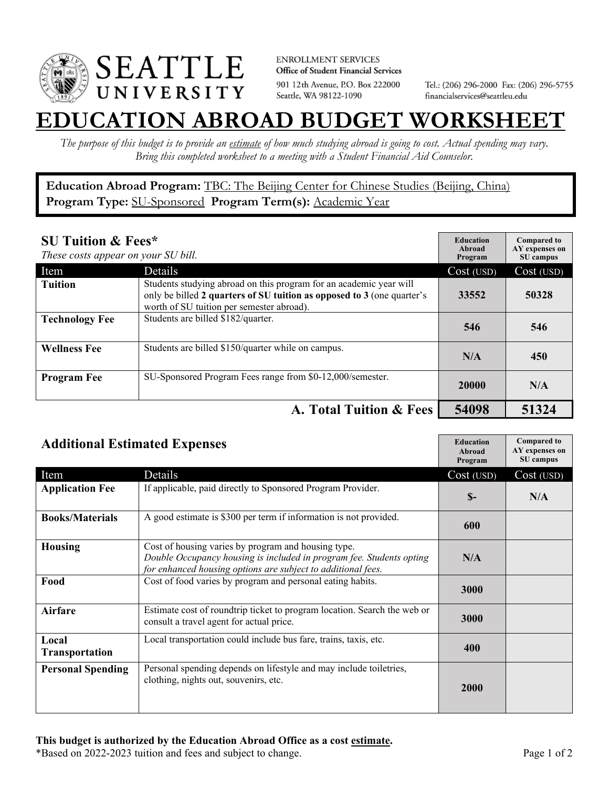

**ENROLLMENT SERVICES** Office of Student Financial Services 901 12th Avenue, P.O. Box 222000 Seattle, WA 98122-1090

Tel.: (206) 296-2000 Fax: (206) 296-5755 financialservices@seattleu.edu

## **EATION ABROAD BUDGET WORKSHEE**

*The purpose of this budget is to provide an estimate of how much studying abroad is going to cost. Actual spending may vary. Bring this completed worksheet to a meeting with a Student Financial Aid Counselor.* 

**Education Abroad Program:** TBC: The Beijing Center for Chinese Studies (Beijing, China) Program Type: **SU-Sponsored** Program Term(s): **Academic Year** 

| <b>SU Tuition &amp; Fees*</b><br>These costs appear on your SU bill. |                                                                                                                                                                                           | <b>Education</b><br>Abroad<br>Program | <b>Compared to</b><br>AY expenses on<br>SU campus |
|----------------------------------------------------------------------|-------------------------------------------------------------------------------------------------------------------------------------------------------------------------------------------|---------------------------------------|---------------------------------------------------|
| Item                                                                 | Details                                                                                                                                                                                   | Cost (USD)                            | Cost (USD)                                        |
| <b>Tuition</b>                                                       | Students studying abroad on this program for an academic year will<br>only be billed 2 quarters of SU tuition as opposed to 3 (one quarter's<br>worth of SU tuition per semester abroad). | 33552                                 | 50328                                             |
| <b>Technology Fee</b>                                                | Students are billed \$182/quarter.                                                                                                                                                        | 546                                   | 546                                               |
| <b>Wellness Fee</b>                                                  | Students are billed \$150/quarter while on campus.                                                                                                                                        | N/A                                   | 450                                               |
| <b>Program Fee</b>                                                   | SU-Sponsored Program Fees range from \$0-12,000/semester.                                                                                                                                 | 20000                                 | N/A                                               |
|                                                                      | A. Total Tuition & Fees                                                                                                                                                                   | 54098                                 | 51324                                             |

| <b>Additional Estimated Expenses</b> |                                                                                                                                                                                             | <b>Education</b><br>Abroad<br>Program | <b>Compared to</b><br>AY expenses on<br>SU campus |
|--------------------------------------|---------------------------------------------------------------------------------------------------------------------------------------------------------------------------------------------|---------------------------------------|---------------------------------------------------|
| Item                                 | Details                                                                                                                                                                                     | Cost (USD)                            | Cost (USD)                                        |
| <b>Application Fee</b>               | If applicable, paid directly to Sponsored Program Provider.                                                                                                                                 | $S-$                                  | N/A                                               |
| <b>Books/Materials</b>               | A good estimate is \$300 per term if information is not provided.                                                                                                                           | 600                                   |                                                   |
| <b>Housing</b>                       | Cost of housing varies by program and housing type.<br>Double Occupancy housing is included in program fee. Students opting<br>for enhanced housing options are subject to additional fees. | N/A                                   |                                                   |
| Food                                 | Cost of food varies by program and personal eating habits.                                                                                                                                  | 3000                                  |                                                   |
| Airfare                              | Estimate cost of roundtrip ticket to program location. Search the web or<br>consult a travel agent for actual price.                                                                        | 3000                                  |                                                   |
| Local<br><b>Transportation</b>       | Local transportation could include bus fare, trains, taxis, etc.                                                                                                                            | 400                                   |                                                   |
| <b>Personal Spending</b>             | Personal spending depends on lifestyle and may include toiletries,<br>clothing, nights out, souvenirs, etc.                                                                                 | <b>2000</b>                           |                                                   |

\*Based on 2022-2023 tuition and fees and subject to change. Page 1 of 2